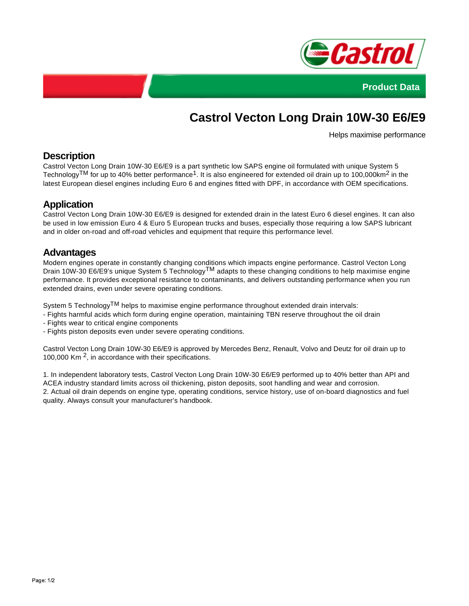



# **Castrol Vecton Long Drain 10W-30 E6/E9**

Helps maximise performance

# **Description**

Castrol Vecton Long Drain 10W-30 E6/E9 is a part synthetic low SAPS engine oil formulated with unique System 5 Technology<sup>TM</sup> for up to 40% better performance<sup>1</sup>. It is also engineered for extended oil drain up to 100,000km<sup>2</sup> in the latest European diesel engines including Euro 6 and engines fitted with DPF, in accordance with OEM specifications.

# **Application**

Castrol Vecton Long Drain 10W-30 E6/E9 is designed for extended drain in the latest Euro 6 diesel engines. It can also be used in low emission Euro 4 & Euro 5 European trucks and buses, especially those requiring a low SAPS lubricant and in older on-road and off-road vehicles and equipment that require this performance level.

#### **Advantages**

Modern engines operate in constantly changing conditions which impacts engine performance. Castrol Vecton Long Drain 10W-30 E6/E9's unique System 5 Technology<sup>TM</sup> adapts to these changing conditions to help maximise engine performance. It provides exceptional resistance to contaminants, and delivers outstanding performance when you run extended drains, even under severe operating conditions.

System 5 Technology<sup>TM</sup> helps to maximise engine performance throughout extended drain intervals:

- Fights harmful acids which form during engine operation, maintaining TBN reserve throughout the oil drain
- Fights wear to critical engine components
- Fights piston deposits even under severe operating conditions.

Castrol Vecton Long Drain 10W-30 E6/E9 is approved by Mercedes Benz, Renault, Volvo and Deutz for oil drain up to 100,000 Km<sup>2</sup>, in accordance with their specifications.

1. In independent laboratory tests, Castrol Vecton Long Drain 10W-30 E6/E9 performed up to 40% better than API and ACEA industry standard limits across oil thickening, piston deposits, soot handling and wear and corrosion. 2. Actual oil drain depends on engine type, operating conditions, service history, use of on-board diagnostics and fuel quality. Always consult your manufacturer's handbook.